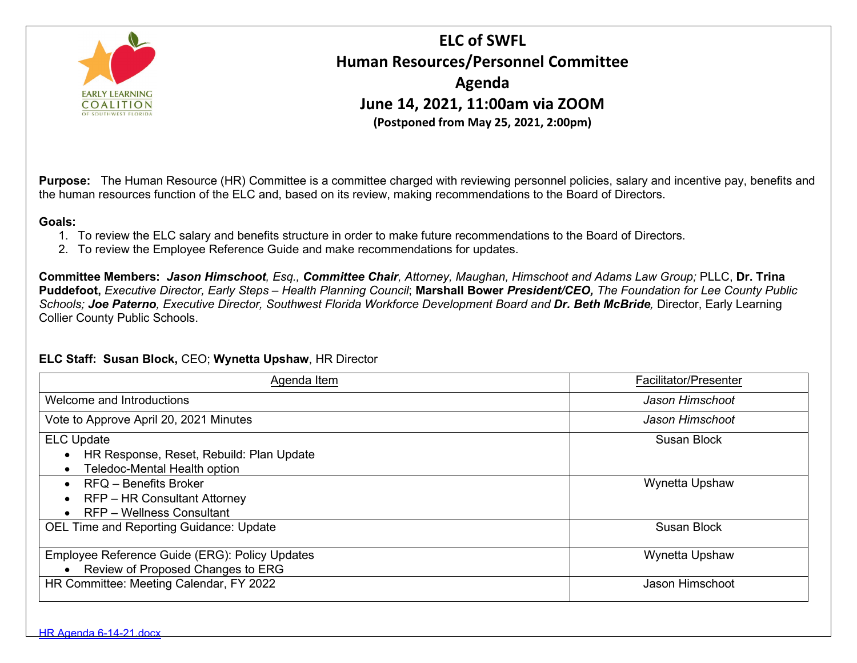

## **ELC of SWFL Human Resources/Personnel Committee Agenda June 14, 2021, 11:00am via ZOOM (Postponed from May 25, 2021, 2:00pm)**

**Purpose:** The Human Resource (HR) Committee is a committee charged with reviewing personnel policies, salary and incentive pay, benefits and the human resources function of the ELC and, based on its review, making recommendations to the Board of Directors.

## **Goals:**

- 1. To review the ELC salary and benefits structure in order to make future recommendations to the Board of Directors.
- 2. To review the Employee Reference Guide and make recommendations for updates.

**Committee Members:** *Jason Himschoot, Esq., Committee Chair, Attorney, Maughan, Himschoot and Adams Law Group;* PLLC, **Dr. Trina Puddefoot,** *Executive Director, Early Steps – Health Planning Council*; **Marshall Bower** *President/CEO, The Foundation for Lee County Public Schools; Joe Paterno, Executive Director, Southwest Florida Workforce Development Board and Dr. Beth McBride,* Director, Early Learning Collier County Public Schools.

## **ELC Staff: Susan Block,** CEO; **Wynetta Upshaw**, HR Director

| Agenda Item                                                                                    | Facilitator/Presenter |
|------------------------------------------------------------------------------------------------|-----------------------|
| Welcome and Introductions                                                                      | Jason Himschoot       |
| Vote to Approve April 20, 2021 Minutes                                                         | Jason Himschoot       |
| <b>ELC Update</b><br>HR Response, Reset, Rebuild: Plan Update<br>Teledoc-Mental Health option  | Susan Block           |
| <b>RFQ - Benefits Broker</b><br><b>RFP-HR Consultant Attorney</b><br>RFP - Wellness Consultant | Wynetta Upshaw        |
| <b>OEL Time and Reporting Guidance: Update</b>                                                 | <b>Susan Block</b>    |
| Employee Reference Guide (ERG): Policy Updates<br>Review of Proposed Changes to ERG            | Wynetta Upshaw        |
| HR Committee: Meeting Calendar, FY 2022                                                        | Jason Himschoot       |